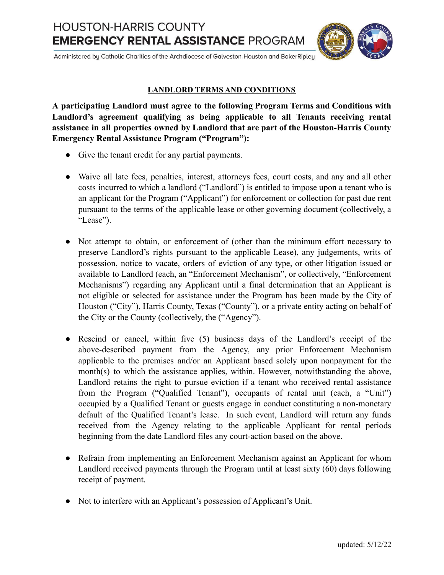**HOUSTON-HARRIS COUNTY EMERGENCY RENTAL ASSISTANCE PROGRAM** 



Administered by Catholic Charities of the Archdiocese of Galveston-Houston and BakerRipley

## **LANDLORD TERMS AND CONDITIONS**

**A participating Landlord must agree to the following Program Terms and Conditions with Landlord's agreement qualifying as being applicable to all Tenants receiving rental assistance in all properties owned by Landlord that are part of the Houston-Harris County Emergency Rental Assistance Program ("Program"):**

- Give the tenant credit for any partial payments.
- Waive all late fees, penalties, interest, attorneys fees, court costs, and any and all other costs incurred to which a landlord ("Landlord") is entitled to impose upon a tenant who is an applicant for the Program ("Applicant") for enforcement or collection for past due rent pursuant to the terms of the applicable lease or other governing document (collectively, a "Lease").
- Not attempt to obtain, or enforcement of (other than the minimum effort necessary to preserve Landlord's rights pursuant to the applicable Lease), any judgements, writs of possession, notice to vacate, orders of eviction of any type, or other litigation issued or available to Landlord (each, an "Enforcement Mechanism", or collectively, "Enforcement Mechanisms") regarding any Applicant until a final determination that an Applicant is not eligible or selected for assistance under the Program has been made by the City of Houston ("City"), Harris County, Texas ("County"), or a private entity acting on behalf of the City or the County (collectively, the ("Agency").
- Rescind or cancel, within five (5) business days of the Landlord's receipt of the above-described payment from the Agency, any prior Enforcement Mechanism applicable to the premises and/or an Applicant based solely upon nonpayment for the month(s) to which the assistance applies, within. However, notwithstanding the above, Landlord retains the right to pursue eviction if a tenant who received rental assistance from the Program ("Qualified Tenant"), occupants of rental unit (each, a "Unit") occupied by a Qualified Tenant or guests engage in conduct constituting a non-monetary default of the Qualified Tenant's lease. In such event, Landlord will return any funds received from the Agency relating to the applicable Applicant for rental periods beginning from the date Landlord files any court-action based on the above.
- Refrain from implementing an Enforcement Mechanism against an Applicant for whom Landlord received payments through the Program until at least sixty (60) days following receipt of payment.
- Not to interfere with an Applicant's possession of Applicant's Unit.